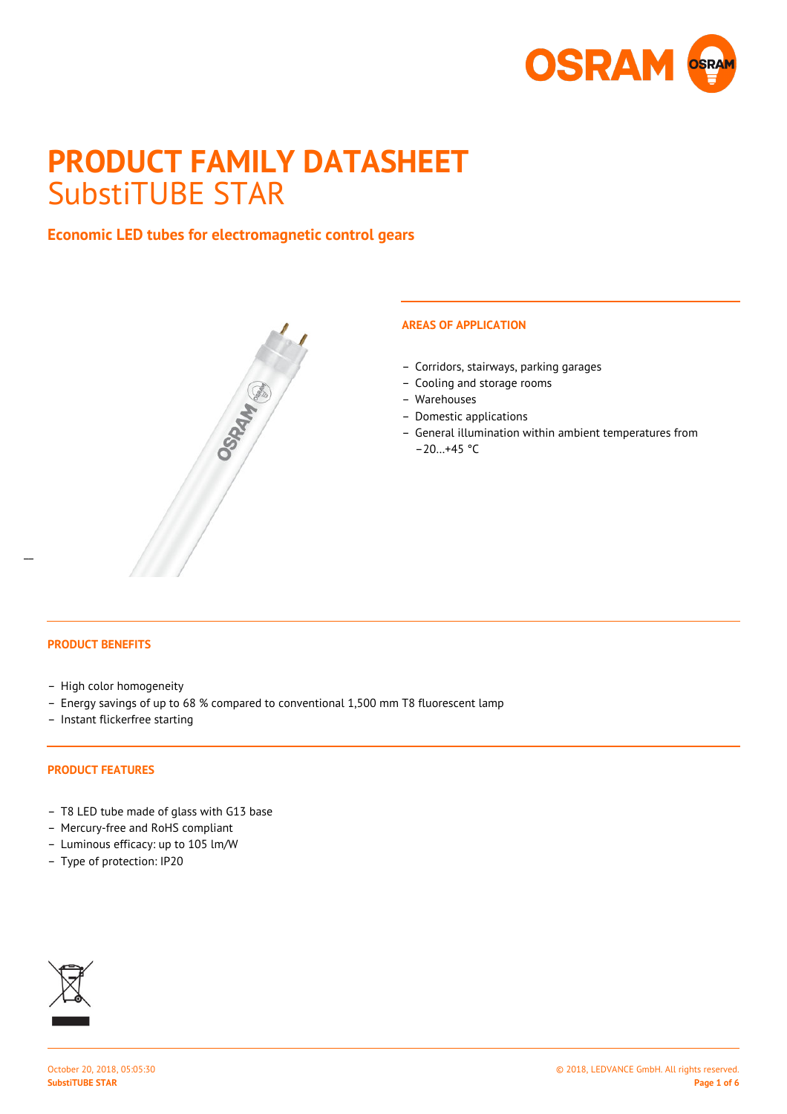

# **PRODUCT FAMILY DATASHEET** SubstiTUBE STAR

# **Economic LED tubes for electromagnetic control gears**



## **AREAS OF APPLICATION**

- Corridors, stairways, parking garages
- Cooling and storage rooms
- Warehouses
- Domestic applications
- General illumination within ambient temperatures from  $-20...+45$  °C

 $\overline{a}$ 

- High color homogeneity
- Energy savings of up to 68 % compared to conventional 1,500 mm T8 fluorescent lamp
- Instant flickerfree starting

#### **PRODUCT FEATURES**

- T8 LED tube made of glass with G13 base
- Mercury-free and RoHS compliant
- Luminous efficacy: up to 105 lm/W
- Type of protection: IP20

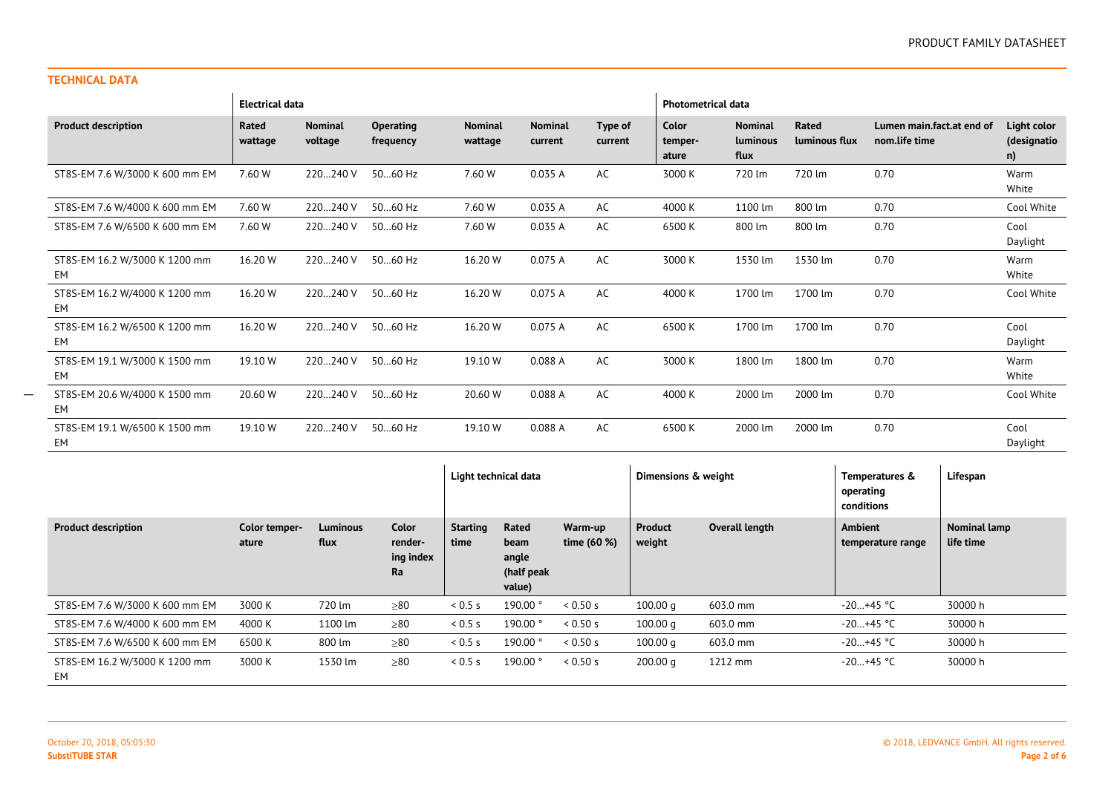#### **TECHNICAL DATA**

 $\overline{\phantom{a}}$ 

|                                     | <b>Electrical data</b> |                           |                               |                           |                           |                    |                           | <b>Photometrical data</b>          |                        |                                            |                                  |  |
|-------------------------------------|------------------------|---------------------------|-------------------------------|---------------------------|---------------------------|--------------------|---------------------------|------------------------------------|------------------------|--------------------------------------------|----------------------------------|--|
| <b>Product description</b>          | Rated<br>wattage       | <b>Nominal</b><br>voltage | <b>Operating</b><br>frequency | <b>Nominal</b><br>wattage | <b>Nominal</b><br>current | Type of<br>current | Color<br>temper-<br>ature | <b>Nominal</b><br>luminous<br>flux | Rated<br>luminous flux | Lumen main.fact.at end of<br>nom.life time | Light color<br>(designatio<br>n) |  |
| ST8S-EM 7.6 W/3000 K 600 mm EM      | 7.60 W                 | 220240 V                  | 5060 Hz                       | 7.60 W                    | 0.035 A                   | AC                 | 3000 K                    | 720 lm                             | 720 lm                 | 0.70                                       | Warm<br>White                    |  |
| ST8S-EM 7.6 W/4000 K 600 mm EM      | 7.60 W                 | 220240 V                  | 5060 Hz                       | 7.60 W                    | 0.035 A                   | AC                 | 4000 K                    | 1100 lm                            | 800 lm                 | 0.70                                       | Cool White                       |  |
| ST8S-EM 7.6 W/6500 K 600 mm EM      | 7.60 W                 | 220240 V                  | 5060 Hz                       | 7.60 W                    | 0.035 A                   | AC                 | 6500 K                    | 800 lm                             | 800 lm                 | 0.70                                       | Cool<br>Daylight                 |  |
| ST8S-EM 16.2 W/3000 K 1200 mm<br>EM | 16.20 W                | 220240 V                  | 5060 Hz                       | 16.20 W                   | 0.075A                    | AC                 | 3000 K                    | 1530 lm                            | 1530 lm                | 0.70                                       | Warm<br>White                    |  |
| ST8S-EM 16.2 W/4000 K 1200 mm<br>EM | 16.20 W                | 220240 V                  | 5060 Hz                       | 16.20 W                   | 0.075 A                   | AC                 | 4000 K                    | 1700 lm                            | 1700 lm                | 0.70                                       | Cool White                       |  |
| ST8S-EM 16.2 W/6500 K 1200 mm<br>EM | 16.20 W                | 220240 V                  | 5060 Hz                       | 16.20 W                   | 0.075A                    | AC                 | 6500 K                    | 1700 lm                            | 1700 lm                | 0.70                                       | Cool<br>Daylight                 |  |
| ST8S-EM 19.1 W/3000 K 1500 mm<br>EM | 19.10 W                | 220240 V                  | 5060 Hz                       | 19.10 W                   | 0.088 A                   | AC                 | 3000 K                    | 1800 lm                            | 1800 lm                | 0.70                                       | Warm<br>White                    |  |
| ST8S-EM 20.6 W/4000 K 1500 mm<br>EM | 20.60 W                | 220240 V                  | 5060 Hz                       | 20.60 W                   | 0.088 A                   | AC                 | 4000 K                    | 2000 lm                            | 2000 lm                | 0.70                                       | Cool White                       |  |
| ST8S-EM 19.1 W/6500 K 1500 mm<br>EM | 19.10 W                | 220240 V                  | 5060 Hz                       | 19.10 W                   | 0.088 A                   | AC                 | 6500 K                    | 2000 lm                            | 2000 lm                | 0.70                                       | Cool<br>Daylight                 |  |

|                                     |                        |                         |                                     | Light technical data    |                                                |                        | Dimensions & weight |                | Temperatures &<br>operating<br>conditions | Lifespan                  |
|-------------------------------------|------------------------|-------------------------|-------------------------------------|-------------------------|------------------------------------------------|------------------------|---------------------|----------------|-------------------------------------------|---------------------------|
| <b>Product description</b>          | Color temper-<br>ature | <b>Luminous</b><br>flux | Color<br>render-<br>ing index<br>Ra | <b>Starting</b><br>time | Rated<br>beam<br>angle<br>(half peak<br>value) | Warm-up<br>time (60 %) | Product<br>weight   | Overall length | Ambient<br>temperature range              | Nominal lamp<br>life time |
| ST8S-EM 7.6 W/3000 K 600 mm EM      | 3000 K                 | 720 lm                  | >80                                 | 0.5 s                   | 190.00°                                        | 0.50 s                 | 100.00 q            | 603.0 mm       | $-20+45$ °C                               | 30000 h                   |
| ST8S-EM 7.6 W/4000 K 600 mm EM      | 4000 K                 | 1100 lm                 | $\geq 80$                           | 0.5s                    | 190.00°                                        | 0.50 s                 | 100.00 q            | 603.0 mm       | $-20+45$ °C                               | 30000 h                   |
| ST8S-EM 7.6 W/6500 K 600 mm EM      | 6500 K                 | 800 lm                  | $\geq 80$                           | 0.5s                    | 190.00°                                        | 0.50 s                 | 100.00 q            | 603.0 mm       | $-20+45$ °C                               | 30000 h                   |
| ST8S-EM 16.2 W/3000 K 1200 mm<br>EM | 3000 K                 | 1530 lm                 | $\geq 80$                           | 0.5s                    | 190.00°                                        | 0.50 s                 | 200.00 <sub>q</sub> | 1212 mm        | $-20+45$ °C                               | 30000 h                   |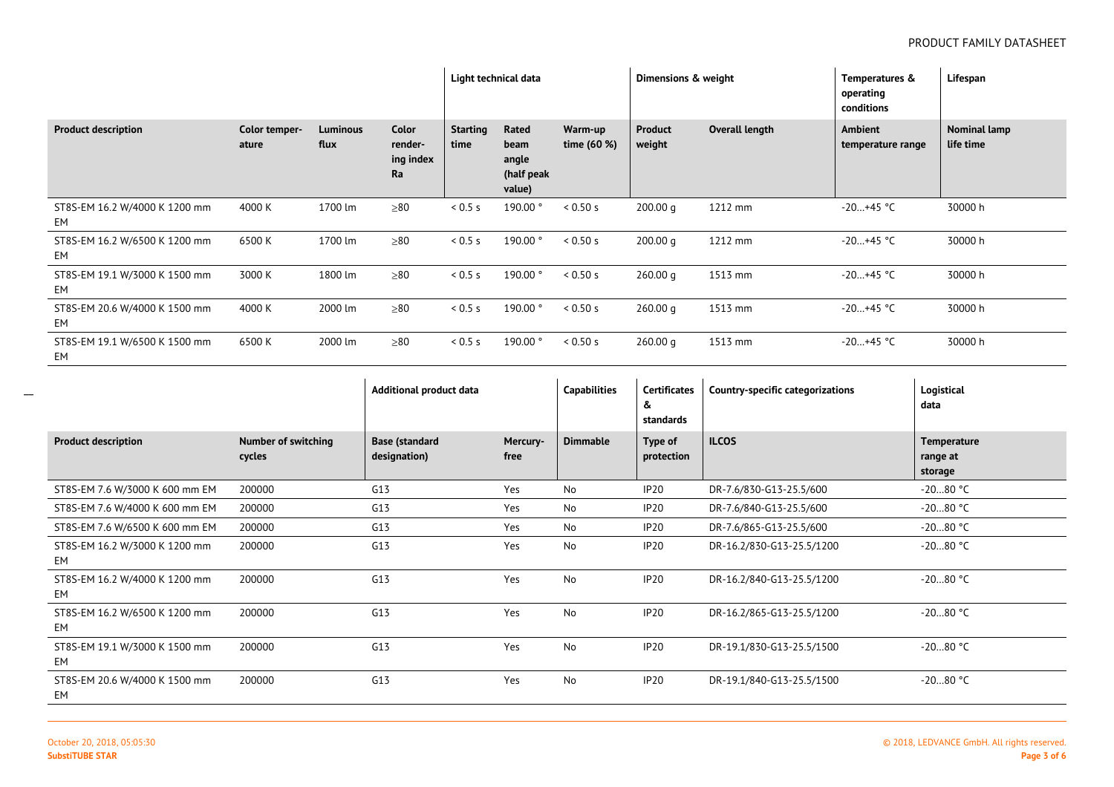|                                      |                        |                         |                                     | Light technical data    |                                                |                        | Dimensions & weight      |                | Temperatures &<br>operating<br>conditions | Lifespan                  |
|--------------------------------------|------------------------|-------------------------|-------------------------------------|-------------------------|------------------------------------------------|------------------------|--------------------------|----------------|-------------------------------------------|---------------------------|
| <b>Product description</b>           | Color temper-<br>ature | <b>Luminous</b><br>flux | Color<br>render-<br>ing index<br>Ra | <b>Starting</b><br>time | Rated<br>beam<br>angle<br>(half peak<br>value) | Warm-up<br>time (60 %) | <b>Product</b><br>weight | Overall length | Ambient<br>temperature range              | Nominal lamp<br>life time |
| ST8S-EM 16.2 W/4000 K 1200 mm<br>EM  | 4000 K                 | 1700 lm                 | $\geq 80$                           | 0.5 s                   | 190.00°                                        | < 0.50 s               | 200.00 q                 | 1212 mm        | $-20+45$ °C                               | 30000 h                   |
| ST8S-EM 16.2 W/6500 K 1200 mm<br>EM  | 6500 K                 | 1700 lm                 | > 80                                | 0.5s                    | 190.00°                                        | < 0.50 s               | 200.00 q                 | 1212 mm        | $-20+45$ °C                               | 30000 h                   |
| ST8S-EM 19.1 W/3000 K 1500 mm<br>EM  | 3000 K                 | 1800 lm                 | >80                                 | 0.5 s                   | 190.00°                                        | < 0.50 s               | 260.00 g                 | 1513 mm        | $-20+45$ °C                               | 30000 h                   |
| ST8S-EM 20.6 W/4000 K 1500 mm<br>EM  | 4000 K                 | 2000 lm                 | $\geq 80$                           | 0.5 s                   | 190.00°                                        | < 0.50 s               | 260.00 q                 | 1513 mm        | $-20+45$ °C                               | 30000 h                   |
| ST8S-EM 19.1 W/6500 K 1500 mm<br>EM. | 6500 K                 | 2000 lm                 | $\geq 80$                           | 0.5s                    | 190.00°                                        | < 0.50 s               | 260.00 q                 | 1513 mm        | $-20+45$ °C                               | 30000 h                   |

|                                     |                               | Additional product data               |                  | <b>Capabilities</b> | <b>Certificates</b><br>&<br>standards | <b>Country-specific categorizations</b> | Logistical<br>data                 |
|-------------------------------------|-------------------------------|---------------------------------------|------------------|---------------------|---------------------------------------|-----------------------------------------|------------------------------------|
| <b>Product description</b>          | Number of switching<br>cycles | <b>Base (standard</b><br>designation) | Mercury-<br>free | <b>Dimmable</b>     | Type of<br>protection                 | <b>ILCOS</b>                            | Temperature<br>range at<br>storage |
| ST8S-EM 7.6 W/3000 K 600 mm EM      | 200000                        | G13                                   | Yes              | No                  | IP <sub>20</sub>                      | DR-7.6/830-G13-25.5/600                 | $-2080$ °C                         |
| ST8S-EM 7.6 W/4000 K 600 mm EM      | 200000                        | G13                                   | Yes              | No                  | IP <sub>20</sub>                      | DR-7.6/840-G13-25.5/600                 | $-2080$ °C                         |
| ST8S-EM 7.6 W/6500 K 600 mm EM      | 200000                        | G13                                   | Yes              | No                  | IP <sub>20</sub>                      | DR-7.6/865-G13-25.5/600                 | $-2080$ °C                         |
| ST8S-EM 16.2 W/3000 K 1200 mm<br>EM | 200000                        | G13                                   | Yes              | No                  | IP20                                  | DR-16.2/830-G13-25.5/1200               | $-2080$ °C                         |
| ST8S-EM 16.2 W/4000 K 1200 mm<br>EM | 200000                        | G13                                   | Yes              | No                  | IP <sub>20</sub>                      | DR-16.2/840-G13-25.5/1200               | $-2080$ °C                         |
| ST8S-EM 16.2 W/6500 K 1200 mm<br>EM | 200000                        | G13                                   | Yes              | No                  | IP <sub>20</sub>                      | DR-16.2/865-G13-25.5/1200               | $-2080$ °C                         |
| ST8S-EM 19.1 W/3000 K 1500 mm<br>EM | 200000                        | G13                                   | Yes              | No                  | IP <sub>20</sub>                      | DR-19.1/830-G13-25.5/1500               | $-2080$ °C                         |
| ST8S-EM 20.6 W/4000 K 1500 mm<br>EM | 200000                        | G13                                   | Yes              | No                  | IP <sub>20</sub>                      | DR-19.1/840-G13-25.5/1500               | $-2080$ °C                         |

 $\overline{\phantom{a}}$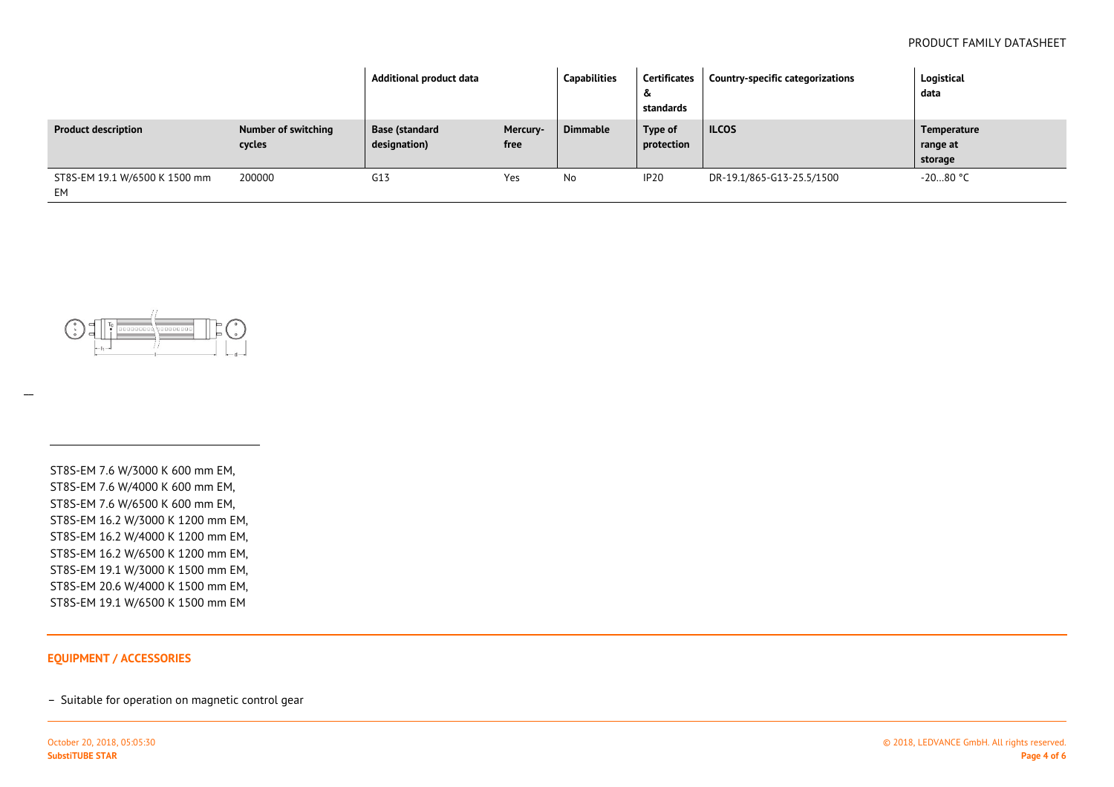|                                     |                               | Additional product data        |                  | Capabilities    | Certificates<br>&<br>standards | Country-specific categorizations | Logistical<br>data                 |
|-------------------------------------|-------------------------------|--------------------------------|------------------|-----------------|--------------------------------|----------------------------------|------------------------------------|
| <b>Product description</b>          | Number of switching<br>cycles | Base (standard<br>designation) | Mercury-<br>free | <b>Dimmable</b> | Type of<br>protection          | <b>ILCOS</b>                     | Temperature<br>range at<br>storage |
| ST8S-EM 19.1 W/6500 K 1500 mm<br>EM | 200000                        | G13                            | Yes              | No              | IP <sub>20</sub>               | DR-19.1/865-G13-25.5/1500        | $-2080$ °C                         |



ST8S-EM 7.6 W/3000 K 600 mm EM,ST8S-EM 7.6 W/4000 K 600 mm EM,ST8S-EM 7.6 W/6500 K 600 mm EM,ST8S-EM 16.2 W/3000 K 1200 mm EM, ST8S-EM 16.2 W/4000 K 1200 mm EM,ST8S-EM 16.2 W/6500 K 1200 mm EM,ST8S-EM 19.1 W/3000 K 1500 mm EM, ST8S-EM 20.6 W/4000 K 1500 mm EM,ST8S-EM 19.1 W/6500 K 1500 mm EM

#### **EQUIPMENT / ACCESSORIES**

– Suitable for operation on magnetic control gear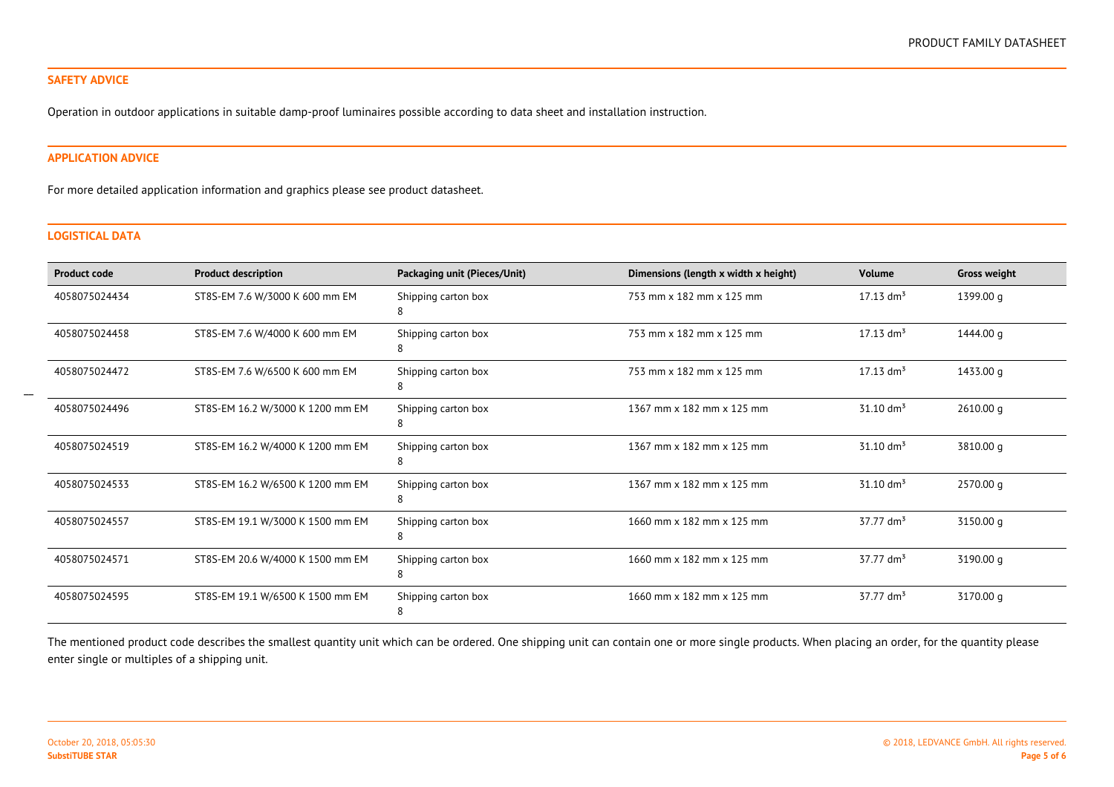#### **SAFETY ADVICE**

Operation in outdoor applications in suitable damp-proof luminaires possible according to data sheet and installation instruction.

#### **APPLICATION ADVICE**

For more detailed application information and graphics please see product datasheet.

#### **LOGISTICAL DATA**

| <b>Product code</b> | <b>Product description</b>       | Packaging unit (Pieces/Unit) | Dimensions (length x width x height) | <b>Volume</b>           | <b>Gross weight</b> |
|---------------------|----------------------------------|------------------------------|--------------------------------------|-------------------------|---------------------|
| 4058075024434       | ST8S-EM 7.6 W/3000 K 600 mm EM   | Shipping carton box<br>8     | 753 mm x 182 mm x 125 mm             | $17.13$ dm <sup>3</sup> | 1399.00 g           |
| 4058075024458       | ST8S-EM 7.6 W/4000 K 600 mm EM   | Shipping carton box<br>8     | 753 mm x 182 mm x 125 mm             | $17.13$ dm <sup>3</sup> | 1444.00 g           |
| 4058075024472       | ST8S-EM 7.6 W/6500 K 600 mm EM   | Shipping carton box<br>8     | 753 mm x 182 mm x 125 mm             | $17.13$ dm <sup>3</sup> | 1433.00 g           |
| 4058075024496       | ST8S-EM 16.2 W/3000 K 1200 mm EM | Shipping carton box<br>8     | 1367 mm x 182 mm x 125 mm            | $31.10 \text{ dm}^3$    | 2610.00 g           |
| 4058075024519       | ST8S-EM 16.2 W/4000 K 1200 mm EM | Shipping carton box<br>8     | 1367 mm x 182 mm x 125 mm            | $31.10 \text{ dm}^3$    | 3810.00 g           |
| 4058075024533       | ST8S-EM 16.2 W/6500 K 1200 mm EM | Shipping carton box<br>8     | 1367 mm x 182 mm x 125 mm            | $31.10 \text{ dm}^3$    | 2570.00 g           |
| 4058075024557       | ST8S-EM 19.1 W/3000 K 1500 mm EM | Shipping carton box          | 1660 mm x 182 mm x 125 mm            | $37.77$ dm <sup>3</sup> | 3150.00 g           |
| 4058075024571       | ST8S-EM 20.6 W/4000 K 1500 mm EM | Shipping carton box<br>8     | 1660 mm x 182 mm x 125 mm            | $37.77 \text{ dm}^3$    | 3190.00 g           |
| 4058075024595       | ST8S-EM 19.1 W/6500 K 1500 mm EM | Shipping carton box<br>8     | 1660 mm x 182 mm x 125 mm            | $37.77$ dm <sup>3</sup> | 3170.00 g           |

The mentioned product code describes the smallest quantity unit which can be ordered. One shipping unit can contain one or more single products. When placing an order, for the quantity please enter single or multiples of a shipping unit.